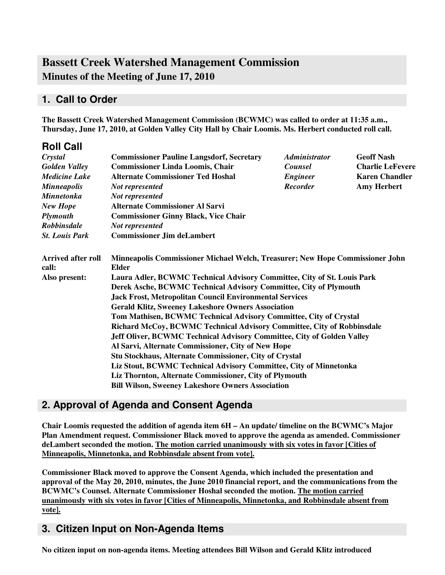# **Bassett Creek Watershed Management Commission Minutes of the Meeting of June 17, 2010**

## **1. Call to Order**

**The Bassett Creek Watershed Management Commission (BCWMC) was called to order at 11:35 a.m., Thursday, June 17, 2010, at Golden Valley City Hall by Chair Loomis. Ms. Herbert conducted roll call.**

| <b>Roll Call</b>                   |                                                                                               |                      |                         |  |  |
|------------------------------------|-----------------------------------------------------------------------------------------------|----------------------|-------------------------|--|--|
| Crystal                            | <b>Commissioner Pauline Langsdorf, Secretary</b>                                              | <b>Administrator</b> | <b>Geoff Nash</b>       |  |  |
| <b>Golden Valley</b>               | <b>Commissioner Linda Loomis, Chair</b>                                                       | <b>Counsel</b>       | <b>Charlie LeFevere</b> |  |  |
| <b>Medicine Lake</b>               | <b>Alternate Commissioner Ted Hoshal</b>                                                      | <b>Engineer</b>      | <b>Karen Chandler</b>   |  |  |
| <b>Minneapolis</b>                 | Not represented                                                                               | <b>Recorder</b>      | <b>Amy Herbert</b>      |  |  |
| <b>Minnetonka</b>                  | Not represented                                                                               |                      |                         |  |  |
| <b>New Hope</b>                    | <b>Alternate Commissioner Al Sarvi</b>                                                        |                      |                         |  |  |
| <b>Plymouth</b>                    | <b>Commissioner Ginny Black, Vice Chair</b>                                                   |                      |                         |  |  |
| <b>Robbinsdale</b>                 | Not represented                                                                               |                      |                         |  |  |
| <b>St. Louis Park</b>              | <b>Commissioner Jim deLambert</b>                                                             |                      |                         |  |  |
| <b>Arrived after roll</b><br>call: | Minneapolis Commissioner Michael Welch, Treasurer; New Hope Commissioner John<br><b>Elder</b> |                      |                         |  |  |
| Also present:                      | Laura Adler, BCWMC Technical Advisory Committee, City of St. Louis Park                       |                      |                         |  |  |
|                                    | Derek Asche, BCWMC Technical Advisory Committee, City of Plymouth                             |                      |                         |  |  |
|                                    | <b>Jack Frost, Metropolitan Council Environmental Services</b>                                |                      |                         |  |  |
|                                    | <b>Gerald Klitz, Sweeney Lakeshore Owners Association</b>                                     |                      |                         |  |  |
|                                    | Tom Mathisen, BCWMC Technical Advisory Committee, City of Crystal                             |                      |                         |  |  |
|                                    | Richard McCoy, BCWMC Technical Advisory Committee, City of Robbinsdale                        |                      |                         |  |  |
|                                    | Jeff Oliver, BCWMC Technical Advisory Committee, City of Golden Valley                        |                      |                         |  |  |
|                                    | Al Sarvi, Alternate Commissioner, City of New Hope                                            |                      |                         |  |  |
|                                    | Stu Stockhaus, Alternate Commissioner, City of Crystal                                        |                      |                         |  |  |
|                                    | Liz Stout, BCWMC Technical Advisory Committee, City of Minnetonka                             |                      |                         |  |  |
|                                    | Liz Thornton, Alternate Commissioner, City of Plymouth                                        |                      |                         |  |  |
|                                    | <b>Bill Wilson, Sweeney Lakeshore Owners Association</b>                                      |                      |                         |  |  |

## **2. Approval of Agenda and Consent Agenda**

**Chair Loomis requested the addition of agenda item 6H – An update/ timeline on the BCWMC's Major Plan Amendment request. Commissioner Black moved to approve the agenda as amended. Commissioner deLambert seconded the motion. The motion carried unanimously with six votes in favor [Cities of Minneapolis, Minnetonka, and Robbinsdale absent from vote].**

**Commissioner Black moved to approve the Consent Agenda, which included the presentation and approval of the May 20, 2010, minutes, the June 2010 financial report, and the communications from the BCWMC's Counsel. Alternate Commissioner Hoshal seconded the motion. The motion carried unanimously with six votes in favor [Cities of Minneapolis, Minnetonka, and Robbinsdale absent from vote].**

## **3. Citizen Input on Non-Agenda Items**

**No citizen input on non-agenda items. Meeting attendees Bill Wilson and Gerald Klitz introduced**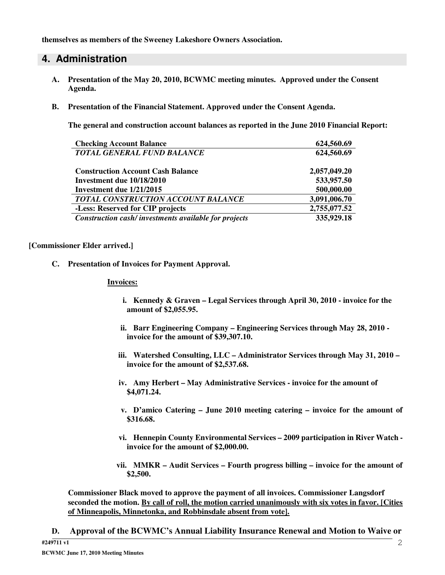**themselves as members of the Sweeney Lakeshore Owners Association.**

### **4. Administration**

- **A. Presentation of the May 20, 2010, BCWMC meeting minutes. Approved under the Consent Agenda.**
- **B. Presentation of the Financial Statement. Approved under the Consent Agenda.**

**The general and construction account balances as reported in the June 2010 Financial Report:**

| <b>Checking Account Balance</b>                      | 624,560.69   |
|------------------------------------------------------|--------------|
| <b>TOTAL GENERAL FUND BALANCE</b>                    | 624,560.69   |
| <b>Construction Account Cash Balance</b>             | 2,057,049.20 |
| Investment due 10/18/2010                            | 533,957.50   |
| Investment due 1/21/2015                             | 500,000.00   |
| TOTAL CONSTRUCTION ACCOUNT BALANCE                   | 3,091,006.70 |
| -Less: Reserved for CIP projects                     | 2,755,077.52 |
| Construction cash/investments available for projects | 335,929.18   |

#### **[Commissioner Elder arrived.]**

**C. Presentation of Invoices for Payment Approval.**

#### **Invoices:**

- **i. Kennedy & Graven – Legal Services through April 30, 2010 - invoice for the amount of \$2,055.95.**
- **ii. Barr Engineering Company – Engineering Services through May 28, 2010 invoice for the amount of \$39,307.10.**
- **iii. Watershed Consulting, LLC – Administrator Services through May 31, 2010 – invoice for the amount of \$2,537.68.**
- **iv. Amy Herbert – May Administrative Services - invoice for the amount of \$4,071.24.**
- **v. D'amico Catering – June 2010 meeting catering – invoice for the amount of \$316.68.**
- **vi. Hennepin County Environmental Services – 2009 participation in River Watch invoice for the amount of \$2,000.00.**
- **vii. MMKR – Audit Services – Fourth progress billing – invoice for the amount of \$2,500.**

**Commissioner Black moved to approve the payment of all invoices. Commissioner Langsdorf seconded the motion. By call of roll, the motion carried unanimously with six votes in favor. [Cities of Minneapolis, Minnetonka, and Robbinsdale absent from vote].**

**D. Approval of the BCWMC's Annual Liability Insurance Renewal and Motion to Waive or**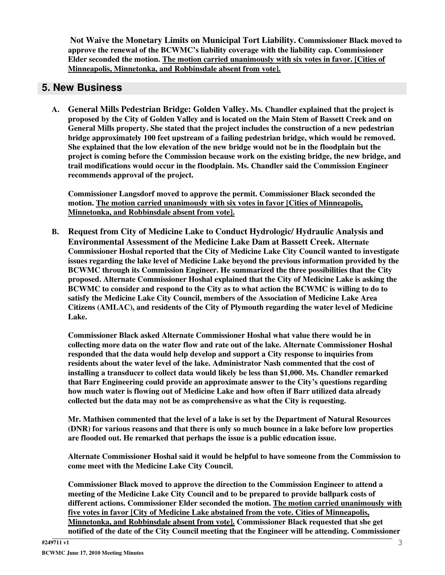**Not Waive the Monetary Limits on Municipal Tort Liability. Commissioner Black moved to approve the renewal of the BCWMC's liability coverage with the liability cap. Commissioner Elder seconded the motion. The motion carried unanimously with six votes in favor. [Cities of Minneapolis, Minnetonka, and Robbinsdale absent from vote].**

### **5. New Business**

**A. General Mills Pedestrian Bridge: Golden Valley. Ms. Chandler explained that the project is** proposed by the City of Golden Valley and is located on the Main Stem of Bassett Creek and on **General Mills property. She stated that the project includes the construction of a new pedestrian bridge approximately 100 feet upstream of a failing pedestrian bridge, which would be removed. She explained that the low elevation of the new bridge would not be in the floodplain but the project is coming before the Commission because work on the existing bridge, the new bridge, and trail modifications would occur in the floodplain. Ms. Chandler said the Commission Engineer recommends approval of the project.**

**Commissioner Langsdorf moved to approve the permit. Commissioner Black seconded the motion. The motion carried unanimously with six votes in favor [Cities of Minneapolis, Minnetonka, and Robbinsdale absent from vote].**

**B. Request from City of Medicine Lake to Conduct Hydrologic/ Hydraulic Analysis and Environmental Assessment of the Medicine Lake Dam at Bassett Creek. Alternate Commissioner Hoshal reported that the City of Medicine Lake City Council wanted to investigate issues regarding the lake level of Medicine Lake beyond the previous information provided by the BCWMC through its Commission Engineer. He summarized the three possibilities that the City proposed. Alternate Commissioner Hoshal explained that the City of Medicine Lake is asking the BCWMC to consider and respond to the City as to what action the BCWMC is willing to do to satisfy the Medicine Lake City Council, members of the Association of Medicine Lake Area Citizens (AMLAC), and residents of the City of Plymouth regarding the water level of Medicine Lake.**

**Commissioner Black asked Alternate Commissioner Hoshal what value there would be in collecting more data on the water flow and rate out of the lake. Alternate Commissioner Hoshal responded that the data would help develop and support a City response to inquiries from residents about the water level of the lake. Administrator Nash commented that the cost of installing a transducer to collect data would likely be less than \$1,000. Ms. Chandler remarked that Barr Engineering could provide an approximate answer to the City's questions regarding how much water is flowing out of Medicine Lake and how often if Barr utilized data already collected but the data may not be as comprehensive as what the City is requesting.**

**Mr. Mathisen commented that the level of a lake is set by the Department of Natural Resources (DNR) for various reasons and that there is only so much bounce in a lake before low properties are flooded out. He remarked that perhaps the issue is a public education issue.**

**Alternate Commissioner Hoshal said it would be helpful to have someone from the Commission to come meet with the Medicine Lake City Council.**

**Commissioner Black moved to approve the direction to the Commission Engineer to attend a meeting of the Medicine Lake City Council and to be prepared to provide ballpark costs of different actions. Commissioner Elder seconded the motion. The motion carried unanimously with five votes in favor [City of Medicine Lake abstained from the vote. Cities of Minneapolis, Minnetonka, and Robbinsdale absent from vote]. Commissioner Black requested that she get notified of the date of the City Council meeting that the Engineer will be attending. Commissioner**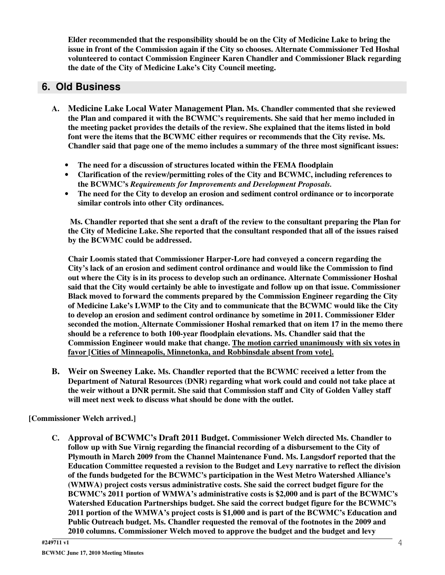**Elder recommended that the responsibility should be on the City of Medicine Lake to bring the issue in front of the Commission again if the City so chooses. Alternate Commissioner Ted Hoshal volunteered to contact Commission Engineer Karen Chandler and Commissioner Black regarding the date of the City of Medicine Lake's City Council meeting.**

## **6. Old Business**

- **A. Medicine Lake Local Water Management Plan. Ms. Chandler commented that she reviewed the Plan and compared it with the BCWMC's requirements. She said that her memo included in the meeting packet provides the details of the review. She explained that the items listed in bold font were the items that the BCWMC either requires or recommends that the City revise. Ms. Chandler said that page one of the memo includes a summary of the three most significant issues:**
	- **The need for a discussion of structures located within the FEMA floodplain**
	- **Clarification of the review/permitting roles of the City and BCWMC, including references to the BCWMC's** *Requirements for Improvements and Development Proposals.*
	- **The need for the City to develop an erosion and sediment control ordinance or to incorporate similar controls into other City ordinances.**

**Ms. Chandler reported that she sent a draft of the review to the consultant preparing the Plan for the City of Medicine Lake. She reported that the consultant responded that all of the issues raised by the BCWMC could be addressed.**

**Chair Loomis stated that Commissioner Harper-Lore had conveyed a concern regarding the City's lack of an erosion and sediment control ordinance and would like the Commission to find out where the City is in its process to develop such an ordinance. Alternate Commissioner Hoshal said that the City would certainly be able to investigate and follow up on that issue. Commissioner Black moved to forward the comments prepared by the Commission Engineer regarding the City of Medicine Lake's LWMP to the City and to communicate that the BCWMC would like the City to develop an erosion and sediment control ordinance by sometime in 2011. Commissioner Elder seconded the motion. Alternate Commissioner Hoshal remarked that on item 17 in the memo there should be a reference to both 100-year floodplain elevations. Ms. Chandler said that the Commission Engineer would make that change. The motion carried unanimously with six votes in favor [Cities of Minneapolis, Minnetonka, and Robbinsdale absent from vote].**

**B. Weir on Sweeney Lake. Ms. Chandler reported that the BCWMC received a letter from the Department of Natural Resources (DNR) regarding what work could and could not take place at the weir without a DNR permit. She said that Commission staff and City of Golden Valley staff will meet next week to discuss what should be done with the outlet.**

**[Commissioner Welch arrived.]**

**C. Approval of BCWMC's Draft 2011 Budget. Commissioner Welch directed Ms. Chandler to follow up with Sue Virnig regarding the financial recording of a disbursement to the City of Plymouth in March 2009 from the Channel Maintenance Fund. Ms. Langsdorf reported that the Education Committee requested a revision to the Budget and Levy narrative to reflect the division of the funds budgeted for the BCWMC's participation in the West Metro Watershed Alliance's (WMWA) project costs versus administrative costs. She said the correct budget figure for the BCWMC's 2011 portion of WMWA's administrative costs is \$2,000 and is part of the BCWMC's Watershed Education Partnerships budget. She said the correct budget figure for the BCWMC's 2011 portion of the WMWA's project costs is \$1,000 and is part of the BCWMC's Education and Public Outreach budget. Ms. Chandler requested the removal of the footnotes in the 2009 and 2010 columns. Commissioner Welch moved to approve the budget and the budget and levy**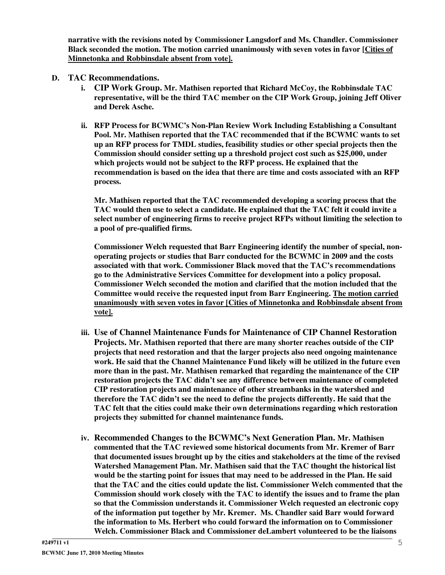**narrative with the revisions noted by Commissioner Langsdorf and Ms. Chandler. Commissioner Black seconded the motion. The motion carried unanimously with seven votes in favor [Cities of Minnetonka and Robbinsdale absent from vote].**

#### **D. TAC Recommendations.**

- **i. CIP Work Group. Mr. Mathisen reported that Richard McCoy, the Robbinsdale TAC representative, will be the third TAC member on the CIP Work Group, joining Jeff Oliver and Derek Asche.**
- **ii. RFP Process for BCWMC's Non-Plan Review Work Including Establishing a Consultant Pool. Mr. Mathisen reported that the TAC recommended that if the BCWMC wants to set up an RFP process for TMDL studies, feasibility studies or other special projects then the Commission should consider setting up a threshold project cost such as \$25,000, under which projects would not be subject to the RFP process. He explained that the recommendation is based on the idea that there are time and costs associated with an RFP process.**

**Mr. Mathisen reported that the TAC recommended developing a scoring process that the TAC would then use to select a candidate. He explained that the TAC felt it could invite a select number of engineering firms to receive project RFPs without limiting the selection to a pool of pre-qualified firms.**

**Commissioner Welch requested that Barr Engineering identify the number of special, nonoperating projects or studies that Barr conducted for the BCWMC in 2009 and the costs associated with that work. Commissioner Black moved that the TAC's recommendations go to the Administrative Services Committee for development into a policy proposal. Commissioner Welch seconded the motion and clarified that the motion included that the Committee would receive the requested input from Barr Engineering. The motion carried unanimously with seven votes in favor [Cities of Minnetonka and Robbinsdale absent from vote].**

- **iii. Use of Channel Maintenance Funds for Maintenance of CIP Channel Restoration Projects. Mr. Mathisen reported that there are many shorter reaches outside of the CIP projects that need restoration and that the larger projects also need ongoing maintenance work. He said that the Channel Maintenance Fund likely will be utilized in the future even more than in the past. Mr. Mathisen remarked that regarding the maintenance of the CIP restoration projects the TAC didn't see any difference between maintenance of completed CIP restoration projects and maintenance of other streambanks in the watershed and therefore the TAC didn't see the need to define the projects differently. He said that the TAC felt that the cities could make their own determinations regarding which restoration projects they submitted for channel maintenance funds.**
- **iv. Recommended Changes to the BCWMC's Next Generation Plan. Mr. Mathisen commented that the TAC reviewed some historical documents from Mr. Kremer of Barr that documented issues brought up by the cities and stakeholders at the time of the revised Watershed Management Plan. Mr. Mathisen said that the TAC thought the historical list would be the starting point for issues that may need to be addressed in the Plan. He said that the TAC and the cities could update the list. Commissioner Welch commented that the Commission should work closely with the TAC to identify the issues and to frame the plan so that the Commission understands it. Commissioner Welch requested an electronic copy of the information put together by Mr. Kremer. Ms. Chandler said Barr would forward the information to Ms. Herbert who could forward the information on to Commissioner Welch. Commissioner Black and Commissioner deLambert volunteered to be the liaisons**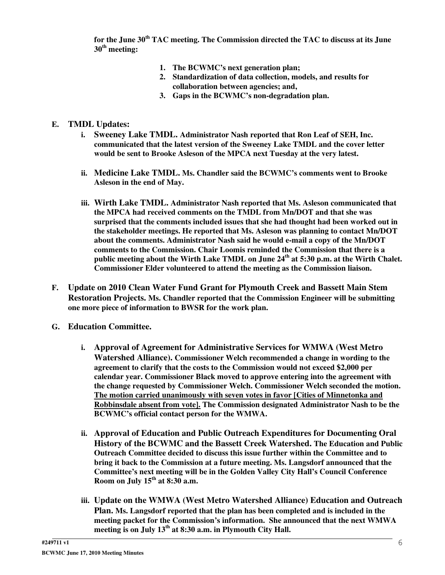**for the June 30 th TAC meeting. The Commission directed the TAC to discuss at its June 30 th meeting:**

- **1. The BCWMC's next generation plan;**
- **2. Standardization of data collection, models, and results for collaboration between agencies; and,**
- **3. Gaps in the BCWMC's non-degradation plan.**

#### **E. TMDL Updates:**

- **i. Sweeney Lake TMDL. Administrator Nash reported that Ron Leaf of SEH, Inc. communicated that the latest version of the Sweeney Lake TMDL and the cover letter would be sent to Brooke Asleson of the MPCA next Tuesday at the very latest.**
- **ii. Medicine Lake TMDL. Ms. Chandler said the BCWMC's comments went to Brooke Asleson in the end of May.**
- **iii. Wirth Lake TMDL. Administrator Nash reported that Ms. Asleson communicated that the MPCA had received comments on the TMDL from Mn/DOT and that she was surprised that the comments included issues that she had thought had been worked out in the stakeholder meetings. He reported that Ms. Asleson was planning to contact Mn/DOT about the comments. Administrator Nash said he would e-mail a copy of the Mn/DOT comments to the Commission. Chair Loomis reminded the Commission that there is a public meeting about the Wirth Lake TMDL on June 24 th at 5:30 p.m. at the Wirth Chalet. Commissioner Elder volunteered to attend the meeting as the Commission liaison.**
- **F. Update on 2010 Clean Water Fund Grant for Plymouth Creek and Bassett Main Stem Restoration Projects. Ms. Chandler reported that the Commission Engineer will be submitting one more piece of information to BWSR for the work plan.**
- **G. Education Committee.**
	- **i. Approval of Agreement for Administrative Services for WMWA (West Metro Watershed Alliance). Commissioner Welch recommended a change in wording to the agreement to clarify that the costs to the Commission would not exceed \$2,000 per calendar year. Commissioner Black moved to approve entering into the agreement with the change requested by Commissioner Welch. Commissioner Welch seconded the motion. The motion carried unanimously with seven votes in favor [Cities of Minnetonka and Robbinsdale absent from vote]. The Commission designated Administrator Nash to be the BCWMC's official contact person for the WMWA.**
	- **ii. Approval of Education and Public Outreach Expenditures for Documenting Oral History of the BCWMC and the Bassett Creek Watershed. The Education and Public Outreach Committee decided to discuss this issue further within the Committee and to bring it back to the Commission at a future meeting. Ms. Langsdorf announced that the Committee's next meeting will be in the Golden Valley City Hall's Council Conference Room on July 15 th at 8:30 a.m.**
	- **iii. Update on the WMWA (West Metro Watershed Alliance) Education and Outreach Plan. Ms. Langsdorf reported that the plan has been completed and is included in the meeting packet for the Commission's information. She announced that the next WMWA meeting is on July 13 th at 8:30 a.m. in Plymouth City Hall.**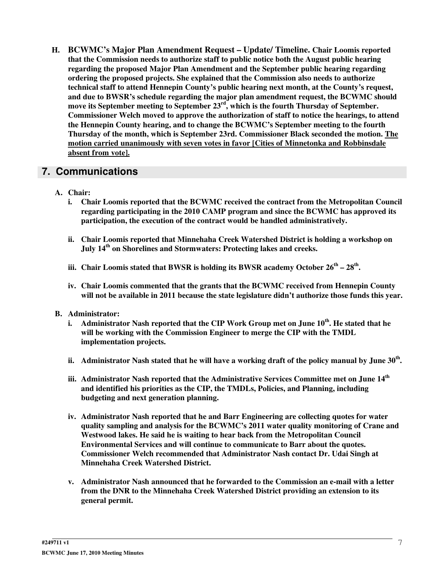**H. BCWMC's Major Plan Amendment Request – Update/ Timeline. Chair Loomis reported that the Commission needs to authorize staff to public notice both the August public hearing regarding the proposed Major Plan Amendment and the September public hearing regarding ordering the proposed projects. She explained that the Commission also needs to authorize technical staff to attend Hennepin County's public hearing next month, at the County's request, and due to BWSR's schedule regarding the major plan amendment request, the BCWMC should move its September meeting to September 23 rd , which is the fourth Thursday of September. Commissioner Welch moved to approve the authorization of staff to notice the hearings, to attend the Hennepin County hearing, and to change the BCWMC's September meeting to the fourth Thursday of the month, which is September 23rd. Commissioner Black seconded the motion. The motion carried unanimously with seven votes in favor [Cities of Minnetonka and Robbinsdale absent from vote].**

### **7. Communications**

- **A. Chair:**
	- **i. Chair Loomis reported that the BCWMC received the contract from the Metropolitan Council regarding participating in the 2010 CAMP program and since the BCWMC has approved its participation, the execution of the contract would be handled administratively.**
	- **ii. Chair Loomis reported that Minnehaha Creek Watershed District is holding a workshop on July 14 th on Shorelines and Stormwaters: Protecting lakes and creeks.**
	- **iii. Chair Loomis stated that BWSR is holding its BWSR academy October 26 th – 28 th .**
	- **iv. Chair Loomis commented that the grants that the BCWMC received from Hennepin County will not be available in 2011 because the state legislature didn't authorize those funds this year.**
- **B. Administrator:**
	- i. Administrator Nash reported that the CIP Work Group met on June 10<sup>th</sup>. He stated that he **will be working with the Commission Engineer to merge the CIP with the TMDL implementation projects.**
	- ii. Administrator Nash stated that he will have a working draft of the policy manual by June  $30^{\rm th}$ .
	- **iii. Administrator Nash reported that the Administrative Services Committee met on June 14 th and identified his priorities as the CIP, the TMDLs, Policies, and Planning, including budgeting and next generation planning.**
	- **iv. Administrator Nash reported that he and Barr Engineering are collecting quotes for water quality sampling and analysis for the BCWMC's 2011 water quality monitoring of Crane and Westwood lakes. He said he is waiting to hear back from the Metropolitan Council Environmental Services and will continue to communicate to Barr about the quotes. Commissioner Welch recommended that Administrator Nash contact Dr. Udai Singh at Minnehaha Creek Watershed District.**
	- **v. Administrator Nash announced that he forwarded to the Commission an e-mail with a letter from the DNR to the Minnehaha Creek Watershed District providing an extension to its general permit.**